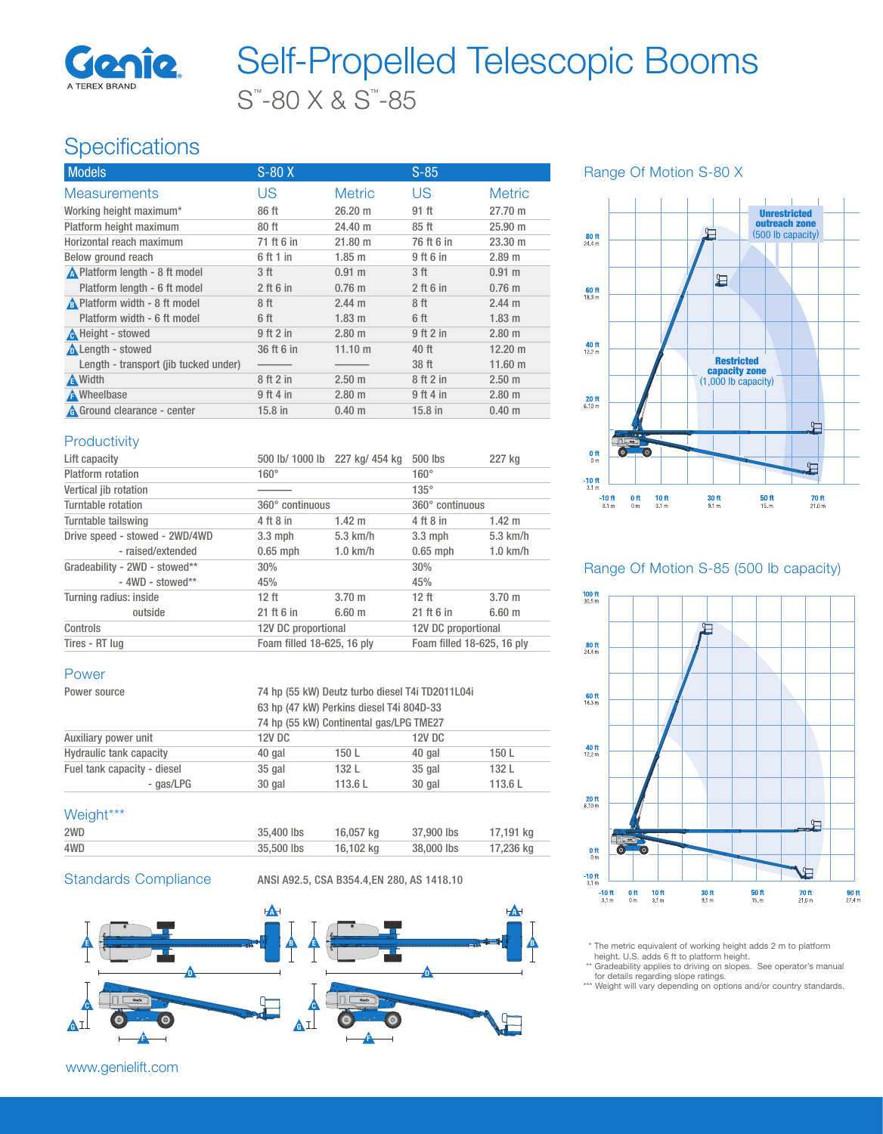

# S™ -80 X & S™ -85 Self-Propelled Telescopic Booms

# **Specifications**

| <b>Models</b>                         | $S-80X$     |                   | $S-85$           |                   |
|---------------------------------------|-------------|-------------------|------------------|-------------------|
| <b>Measurements</b>                   | US          | <b>Metric</b>     | US               | <b>Metric</b>     |
| Working height maximum*               | 86 ft       | 26.20 m           | 91 ft            | 27.70 m           |
| Platform height maximum               | 80ft        | 24.40 m           | 85 <sub>ft</sub> | $25.90 \;{\rm m}$ |
| Horizontal reach maximum              | 71 ft 6 in  | $21.80 \text{ m}$ | 76 ft 6 in       | $23.30 \; m$      |
| Below ground reach                    | 6 ft 1 in   | $1.85$ m          | 9 ft 6 in        | 2.89 m            |
| A Platform length - 8 ft model        | 3 ft        | $0.91 \text{ m}$  | 3 ft             | $0.91 \text{ m}$  |
| Platform length - 6 ft model          | $2$ ft 6 in | $0.76$ m          | $2$ ft 6 in      | $0.76$ m          |
| A Platform width - 8 ft model         | 8 ft        | $2.44 \text{ m}$  | 8 ft             | $2.44 \text{ m}$  |
| Platform width - 6 ft model           | 6 ft        | $1.83$ m          | 6 ft             | 1.83 <sub>m</sub> |
| A Height - stowed                     | 9ft2in      | $2.80$ m          | 9 ft 2 in        | $2.80$ m          |
| <b>A</b> Length - stowed              | 36 ft 6 in  | $11.10 \text{ m}$ | 40 ft            | $12.20 \text{ m}$ |
| Length - transport (jib tucked under) |             |                   | 38 ft            | $11.60 \;{\rm m}$ |
| <b>A</b> Width                        | 8 ft 2 in   | 2.50 <sub>m</sub> | 8 ft 2 in        | $2.50 \text{ m}$  |
| A Wheelbase                           | $9$ ft 4 in | $2.80$ m          | 9 ft 4 in        | $2.80$ m          |
| A Ground clearance - center           | $15.8$ in   | $0.40 \;{\rm m}$  | 15.8 in          | 0.40 <sub>m</sub> |

Range Of Motion S-80 X



#### **Productivity**

| Lift capacity                  | 500 lb/ 1000 lb 227 kg/ 454 kg |             | 500 lbs                    | 227 kg           |
|--------------------------------|--------------------------------|-------------|----------------------------|------------------|
| Platform rotation              | $160^\circ$                    |             | $160^\circ$                |                  |
| Vertical jib rotation          |                                |             | $135^\circ$                |                  |
| Turntable rotation             | 360° continuous                |             | 360° continuous            |                  |
| Turntable tailswing            | 4 ft 8 in                      | $1.42 \; m$ | 4 ft 8 in                  | $1.42 \text{ m}$ |
| Drive speed - stowed - 2WD/4WD | $3.3 \text{ mph}$              | $5.3$ km/h  | $3.3$ mph                  | $5.3$ km/h       |
| - raised/extended              | $0.65$ mph                     | $1.0$ km/h  | $0.65$ mph                 | $1.0$ km/h       |
| Gradeability - 2WD - stowed**  | 30%                            |             | 30%                        |                  |
| $-4WD - stowed**$              | 45%                            |             | 45%                        |                  |
| Turning radius: inside         | 12 <sub>ft</sub>               | $3.70 \; m$ | 12 <sub>ft</sub>           | $3.70 \; m$      |
| outside                        | 21 ft 6 in                     | $6.60 \; m$ | 21 ft 6 in                 | $6.60 \; m$      |
| Controls                       | 12V DC proportional            |             | 12V DC proportional        |                  |
| Tires - RT lug                 | Foam filled 18-625, 16 plv     |             | Foam filled 18-625, 16 ply |                  |

### Power

| Power source                | 74 hp (55 kW) Deutz turbo diesel T4i TD2011L04i<br>63 hp (47 kW) Perkins diesel T4i 804D-33<br>74 hp (55 kW) Continental gas/LPG TME27 |        |        |        |
|-----------------------------|----------------------------------------------------------------------------------------------------------------------------------------|--------|--------|--------|
| Auxiliary power unit        | <b>12V DC</b>                                                                                                                          |        | 12V DC |        |
| Hydraulic tank capacity     | 40 gal                                                                                                                                 | 150L   | 40 gal | 150 L  |
| Fuel tank capacity - diesel | $35$ gal                                                                                                                               | 132 L  | 35 gal | 132 L  |
| - gas/LPG                   | 30 gal                                                                                                                                 | 113.6L | 30 gal | 113.6L |

#### Weight\*\*\*

| 4WD | 35,500 lbs | 16,102 kg | 38,000 lbs | 17.236 ka |
|-----|------------|-----------|------------|-----------|
| 2WD | 35,400 lbs | 16,057 kg | 37,900 lbs | 17,191 kg |

Standards Compliance ANSI A92.5, CSA B354.4,EN 280, AS 1418.10



www.genielift.com

#### Range Of Motion S-85 (500 lb capacity)



\* The metric equivalent of working height adds 2 m to platform height. U.S. adds 6 ft to platform height.

- \*\* Gradeability applies to driving on slopes. See operator's manual<br>for details regarding slope ratings.<br>\*\*\* Weight will vary depending on options and/or country standards.
-